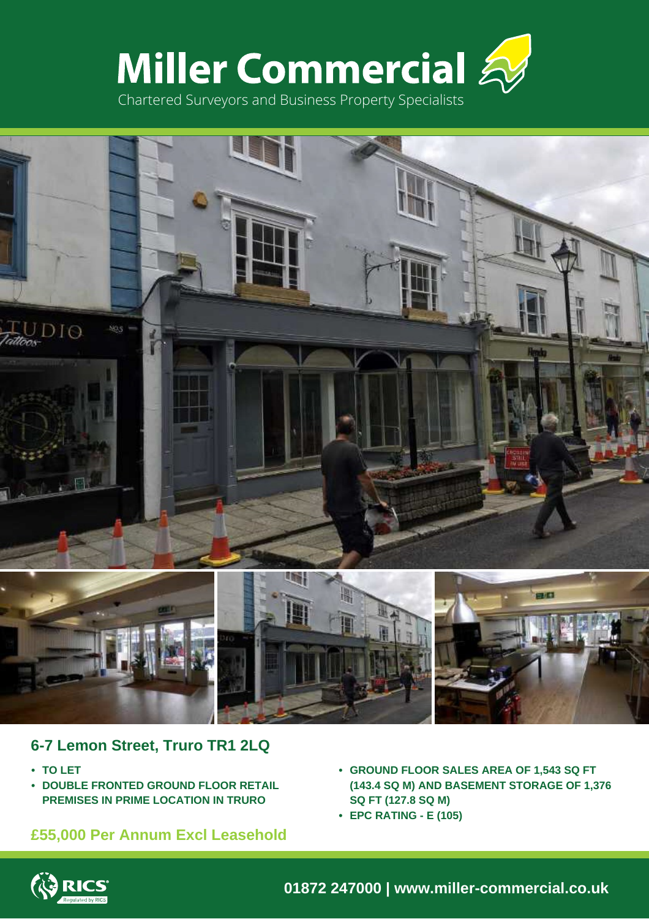



## **6-7 Lemon Street, Truro TR1 2LQ**

- **• TO LET**
- **• DOUBLE FRONTED GROUND FLOOR RETAIL PREMISES IN PRIME LOCATION IN TRURO**

# **£55,000 Per Annum Excl Leasehold**

- **• GROUND FLOOR SALES AREA OF 1,543 SQ FT (143.4 SQ M) AND BASEMENT STORAGE OF 1,376 SQ FT (127.8 SQ M)**
- **• EPC RATING E (105)**



**01872 247000 | www.miller-commercial.co.uk**